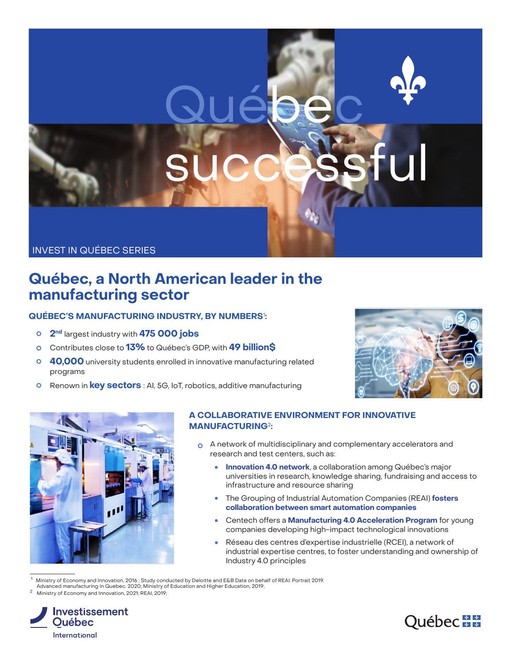# successful

Québec

## INVEST IN QUÉBEC SERIES

# **Québec, a North American leader in the manufacturing sector**

# **QUÉBEC'S MANUFACTURING INDUSTRY, BY NUMBERS**<sup>1</sup> **:**

- **2nd** largest industry with **475 000 jobs**
- Contributes close to **13%** to Québec's GDP, with **49 billion\$**
- **40,000** university students enrolled in innovative manufacturing related programs
- Renown in **key sectors** : AI, 5G, IoT, robotics, additive manufacturing



Québec\*\*



#### **A COLLABORATIVE ENVIRONMENT FOR INNOVATIVE MANUFACTURING**<sup>2</sup>**:**

- A network of multidisciplinary and complementary accelerators and research and test centers, such as:
	- **Innovation 4.0 network**, a collaboration among Québec's major  $\bullet$ universities in research, knowledge sharing, fundraising and access to infrastructure and resource sharing
	- The Grouping of Industrial Automation Companies (REAI) **fosters collaboration between smart automation companies**
	- $\bullet$ Centech offers a **Manufacturing 4.0 Acceleration Program** for young companies developing high-impact technological innovations
	- Réseau des centres d'expertise industrielle (RCEI), a network of  $\bullet$ industrial expertise centres, to foster understanding and ownership of Industry 4.0 principles

<sup>1</sup> Ministry of Economy and Innovation, 2016 ; Study conducted by Deloitte and E&B Data on behalf of REAI. Portrait 2019.

Advanced manufacturing in Quebec. 2020; Ministry of Education and Higher Education, 2019;

<sup>2</sup> Ministry of Economy and Innovation, 2021; REAI, 2019;